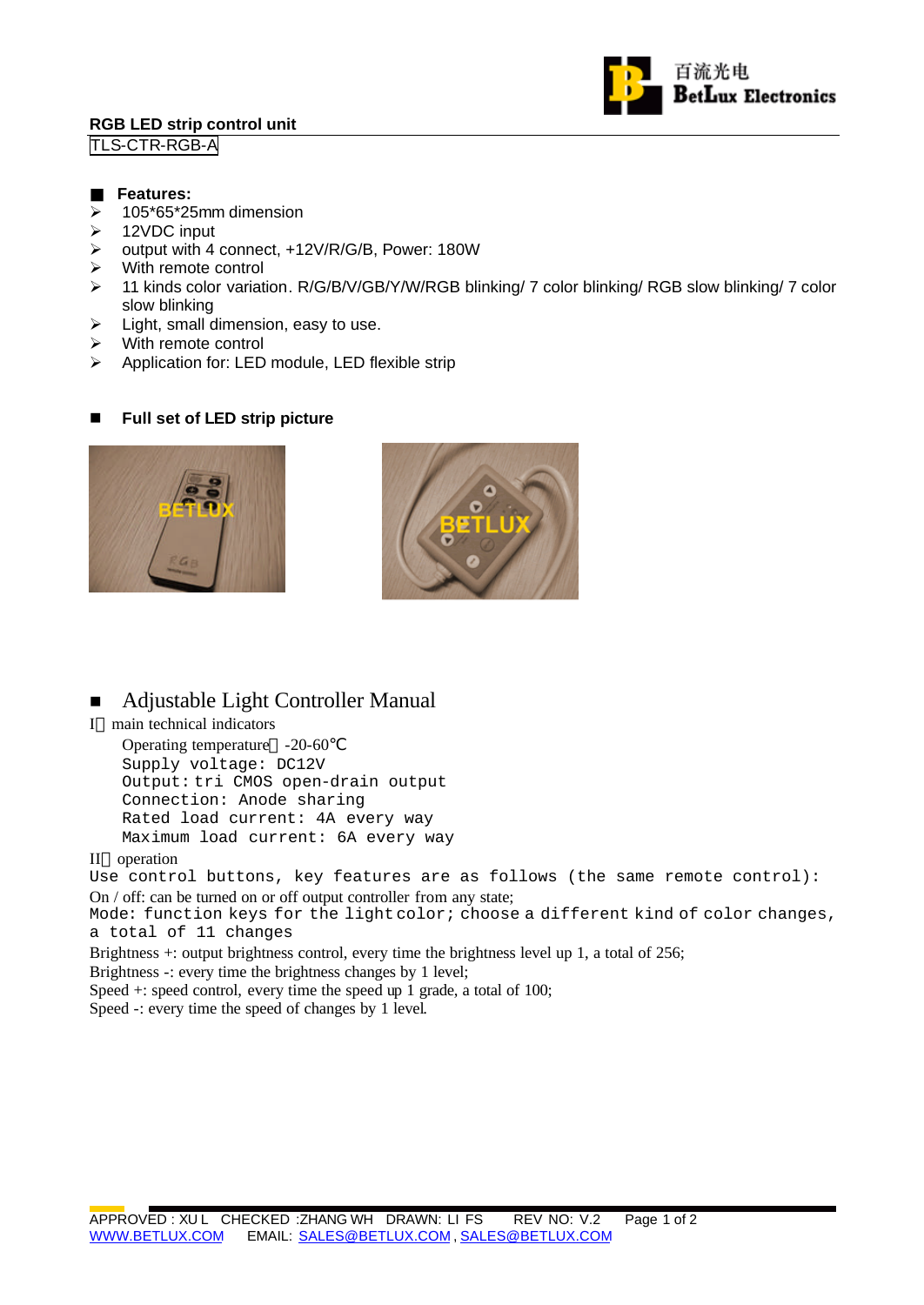## **RGB LED strip control unit**





#### **Features:**

- $\geq$  105\*65\*25mm dimension
- $\triangleright$  12VDC input
- ÿ output with 4 connect, +12V/R/G/B, Power: 180W
- $\triangleright$  With remote control
- ÿ 11 kinds color variation. R/G/B/V/GB/Y/W/RGB blinking/ 7 color blinking/ RGB slow blinking/ 7 color slow blinking
- $\triangleright$  Light, small dimension, easy to use.
- $\triangleright$  With remote control
- $\triangleright$  Application for: LED module, LED flexible strip

### ■ Full set of LED strip picture





# ■ Adjustable Light Controller Manual

I main technical indicators

Operating temperature -20-60 Supply voltage: DC12V Output: tri CMOS open-drain output Connection: Anode sharing Rated load current: 4A every way Maximum load current: 6A every way

II operation

Use control buttons, key features are as follows (the same remote control): On / off: can be turned on or off output controller from any state;

Mode: function keys for the light color; choose a different kind of color changes, a total of 11 changes

Brightness +: output brightness control, every time the brightness level up 1, a total of 256;

Brightness -: every time the brightness changes by 1 level;

Speed +: speed control, every time the speed up 1 grade, a total of 100;

Speed -: every time the speed of changes by 1 level.